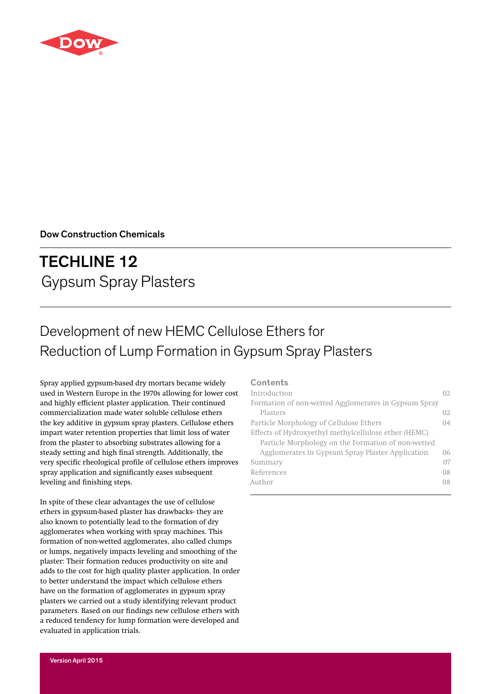

Dow Construction Chemicals

# TECHLINE 12 Gypsum Spray Plasters

# Development of new HEMC Cellulose Ethers for Reduction of Lump Formation in Gypsum Spray Plasters

Spray applied gypsum-based dry mortars became widely used in Western Europe in the 1970s allowing for lower cost and highly efficient plaster application. Their continued commercialization made water soluble cellulose ethers the key additive in gypsum spray plasters. Cellulose ethers impart water retention properties that limit loss of water from the plaster to absorbing substrates allowing for a steady setting and high final strength. Additionally, the very specific rheological profile of cellulose ethers improves spray application and significantly eases subsequent leveling and finishing steps.

In spite of these clear advantages the use of cellulose ethers in gypsum-based plaster has drawbacks- they are also known to potentially lead to the formation of dry agglomerates when working with spray machines. This formation of non-wetted agglomerates, also called clumps or lumps, negatively impacts leveling and smoothing of the plaster: Their formation reduces productivity on site and adds to the cost for high quality plaster application. In order to better understand the impact which cellulose ethers have on the formation of agglomerates in gypsum spray plasters we carried out a study identifying relevant product parameters. Based on our findings new cellulose ethers with a reduced tendency for lump formation were developed and evaluated in application trials.

### **Contents**

| Introduction                                         | 02  |
|------------------------------------------------------|-----|
| Formation of non-wetted Agglomerates in Gypsum Spray |     |
| Plasters                                             | 02. |
| Particle Morphology of Cellulose Ethers              | 04  |
| Effects of Hydroxyethyl methylcellulose ether (HEMC) |     |
| Particle Morphology on the Formation of non-wetted   |     |
| Agglomerates in Gypsum Spray Plaster Application     | 06  |
| Summary                                              | 07  |
| References                                           | 08  |
| Author                                               | 08  |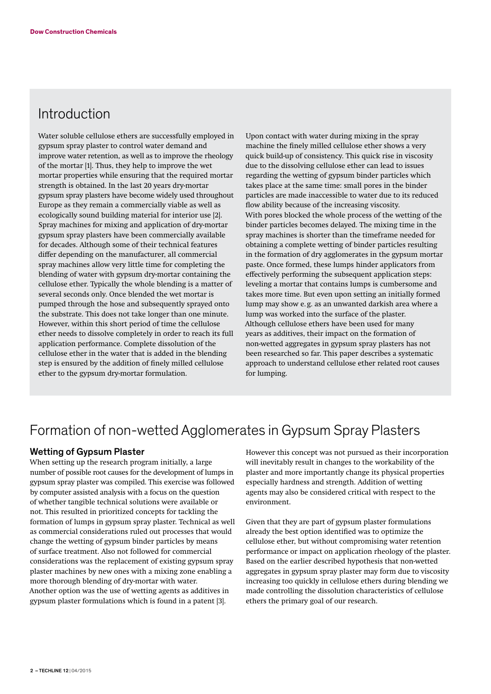### Introduction

Water soluble cellulose ethers are successfully employed in gypsum spray plaster to control water demand and improve water retention, as well as to improve the rheology of the mortar [1]. Thus, they help to improve the wet mortar properties while ensuring that the required mortar strength is obtained. In the last 20 years dry-mortar gypsum spray plasters have become widely used throughout Europe as they remain a commercially viable as well as ecologically sound building material for interior use [2]. Spray machines for mixing and application of dry-mortar gypsum spray plasters have been commercially available for decades. Although some of their technical features differ depending on the manufacturer, all commercial spray machines allow very little time for completing the blending of water with gypsum dry-mortar containing the cellulose ether. Typically the whole blending is a matter of several seconds only. Once blended the wet mortar is pumped through the hose and subsequently sprayed onto the substrate. This does not take longer than one minute. However, within this short period of time the cellulose ether needs to dissolve completely in order to reach its full application performance. Complete dissolution of the cellulose ether in the water that is added in the blending step is ensured by the addition of finely milled cellulose ether to the gypsum dry-mortar formulation.

Upon contact with water during mixing in the spray machine the finely milled cellulose ether shows a very quick build-up of consistency. This quick rise in viscosity due to the dissolving cellulose ether can lead to issues regarding the wetting of gypsum binder particles which takes place at the same time: small pores in the binder particles are made inaccessible to water due to its reduced flow ability because of the increasing viscosity. With pores blocked the whole process of the wetting of the binder particles becomes delayed. The mixing time in the spray machines is shorter than the timeframe needed for obtaining a complete wetting of binder particles resulting in the formation of dry agglomerates in the gypsum mortar paste. Once formed, these lumps hinder applicators from effectively performing the subsequent application steps: leveling a mortar that contains lumps is cumbersome and takes more time. But even upon setting an initially formed lump may show e.g. as an unwanted darkish area where a lump was worked into the surface of the plaster. Although cellulose ethers have been used for many years as additives, their impact on the formation of non-wetted aggregates in gypsum spray plasters has not been researched so far. This paper describes a systematic approach to understand cellulose ether related root causes for lumping.

# Formation of non-wetted Agglomerates in Gypsum Spray Plasters

#### Wetting of Gypsum Plaster

When setting up the research program initially, a large number of possible root causes for the development of lumps in gypsum spray plaster was compiled. This exercise was followed by computer assisted analysis with a focus on the question of whether tangible technical solutions were available or not. This resulted in prioritized concepts for tackling the formation of lumps in gypsum spray plaster. Technical as well as commercial considerations ruled out processes that would change the wetting of gypsum binder particles by means of surface treatment. Also not followed for commercial considerations was the replacement of existing gypsum spray plaster machines by new ones with a mixing zone enabling a more thorough blending of dry-mortar with water. Another option was the use of wetting agents as additives in gypsum plaster formulations which is found in a patent [3].

However this concept was not pursued as their incorporation will inevitably result in changes to the workability of the plaster and more importantly change its physical properties especially hardness and strength. Addition of wetting agents may also be considered critical with respect to the environment.

Given that they are part of gypsum plaster formulations already the best option identified was to optimize the cellulose ether, but without compromising water retention performance or impact on application rheology of the plaster. Based on the earlier described hypothesis that non-wetted aggregates in gypsum spray plaster may form due to viscosity increasing too quickly in cellulose ethers during blending we made controlling the dissolution characteristics of cellulose ethers the primary goal of our research.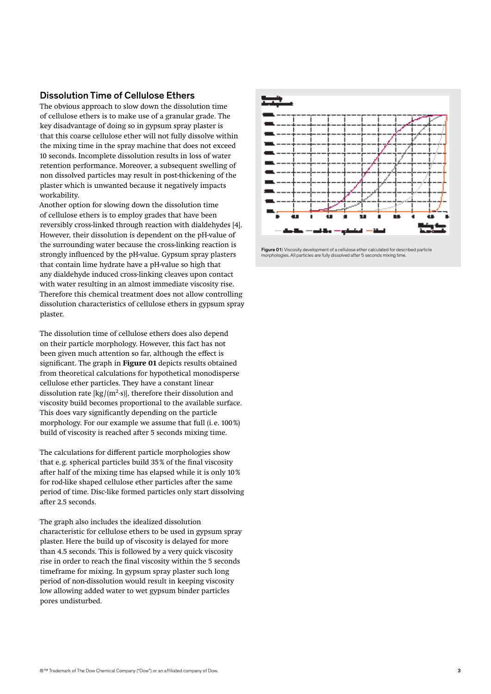#### Dissolution Time of Cellulose Ethers

The obvious approach to slow down the dissolution time of cellulose ethers is to make use of a granular grade. The key disadvantage of doing so in gypsum spray plaster is that this coarse cellulose ether will not fully dissolve within the mixing time in the spray machine that does not exceed 10 seconds. Incomplete dissolution results in loss of water retention performance. Moreover, a subsequent swelling of non dissolved particles may result in post-thickening of the plaster which is unwanted because it negatively impacts workability.

Another option for slowing down the dissolution time of cellulose ethers is to employ grades that have been reversibly cross-linked through reaction with dialdehydes [4]. However, their dissolution is dependent on the pH-value of the surrounding water because the cross-linking reaction is strongly influenced by the pH-value. Gypsum spray plasters that contain lime hydrate have a pH-value so high that any dialdehyde induced cross-linking cleaves upon contact with water resulting in an almost immediate viscosity rise. Therefore this chemical treatment does not allow controlling dissolution characteristics of cellulose ethers in gypsum spray plaster.

The dissolution time of cellulose ethers does also depend on their particle morphology. However, this fact has not been given much attention so far, although the effect is significant. The graph in **Figure 01** depicts results obtained from theoretical calculations for hypothetical monodisperse cellulose ether particles. They have a constant linear dissolution rate  $[kg/(m^2 \cdot s)]$ , therefore their dissolution and viscosity build becomes proportional to the available surface. This does vary significantly depending on the particle morphology. For our example we assume that full (i. e. 100%) build of viscosity is reached after 5 seconds mixing time.

The calculations for different particle morphologies show that e.g. spherical particles build 35% of the final viscosity after half of the mixing time has elapsed while it is only 10% for rod-like shaped cellulose ether particles after the same period of time. Disc-like formed particles only start dissolving after 2.5 seconds.

The graph also includes the idealized dissolution characteristic for cellulose ethers to be used in gypsum spray plaster. Here the build up of viscosity is delayed for more than 4.5 seconds. This is followed by a very quick viscosity rise in order to reach the final viscosity within the 5 seconds timeframe for mixing. In gypsum spray plaster such long period of non-dissolution would result in keeping viscosity low allowing added water to wet gypsum binder particles pores undisturbed.



Figure 01: Viscosity development of a cellulose ether calculated for described particle morphologies. All particles are fully dissolved after 5 seconds mixing time.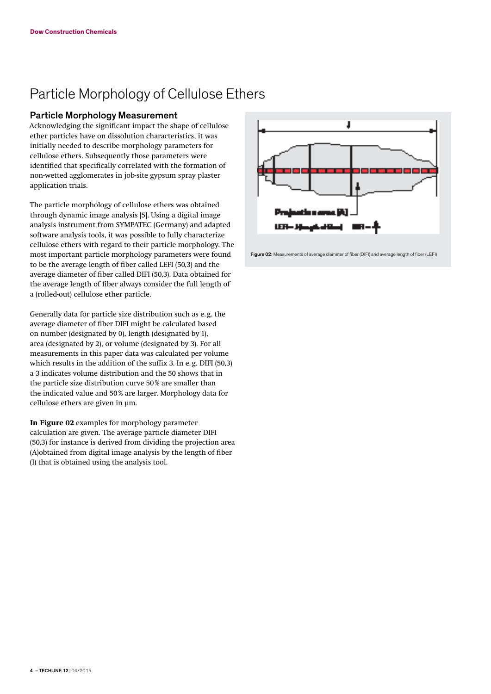# Particle Morphology of Cellulose Ethers

#### Particle Morphology Measurement

Acknowledging the significant impact the shape of cellulose ether particles have on dissolution characteristics, it was initially needed to describe morphology parameters for cellulose ethers. Subsequently those parameters were identified that specifically correlated with the formation of non-wetted agglomerates in job-site gypsum spray plaster application trials.

The particle morphology of cellulose ethers was obtained through dynamic image analysis [5]. Using a digital image analysis instrument from SYMPATEC (Germany) and adapted software analysis tools, it was possible to fully characterize cellulose ethers with regard to their particle morphology. The most important particle morphology parameters were found to be the average length of fiber called LEFI (50,3) and the average diameter of fiber called DIFI (50,3). Data obtained for the average length of fiber always consider the full length of a (rolled-out) cellulose ether particle.

Generally data for particle size distribution such as e.g. the average diameter of fiber DIFI might be calculated based on number (designated by 0), length (designated by 1), area (designated by 2), or volume (designated by 3). For all measurements in this paper data was calculated per volume which results in the addition of the suffix 3. In e.g. DIFI (50,3) a 3 indicates volume distribution and the 50 shows that in the particle size distribution curve 50% are smaller than the indicated value and 50% are larger. Morphology data for cellulose ethers are given in µm.

**In Figure 02** examples for morphology parameter calculation are given. The average particle diameter DIFI (50,3) for instance is derived from dividing the projection area (A)obtained from digital image analysis by the length of fiber (l) that is obtained using the analysis tool.



Figure 02: Measurements of average diameter of fiber (DIFI) and average length of fiber (LEFI)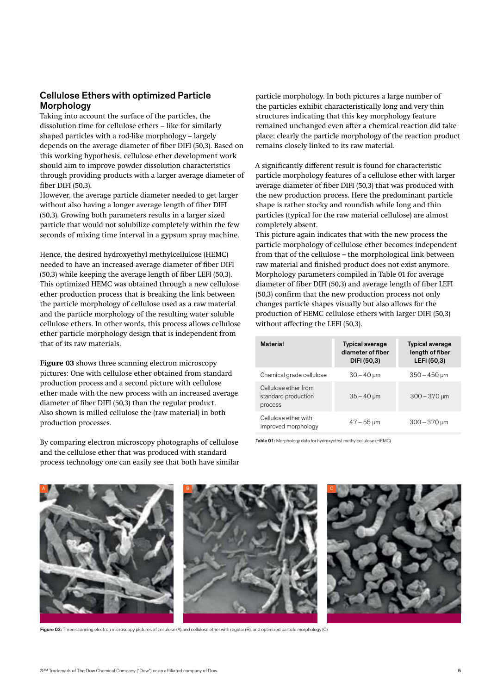### Cellulose Ethers with optimized Particle Morphology

Taking into account the surface of the particles, the dissolution time for cellulose ethers – like for similarly shaped particles with a rod-like morphology – largely depends on the average diameter of fiber DIFI (50,3). Based on this working hypothesis, cellulose ether development work should aim to improve powder dissolution characteristics through providing products with a larger average diameter of fiber DIFI (50,3).

However, the average particle diameter needed to get larger without also having a longer average length of fiber DIFI (50,3). Growing both parameters results in a larger sized particle that would not solubilize completely within the few seconds of mixing time interval in a gypsum spray machine.

Hence, the desired hydroxyethyl methylcellulose (HEMC) needed to have an increased average diameter of fiber DIFI (50,3) while keeping the average length of fiber LEFI (50,3). This optimized HEMC was obtained through a new cellulose ether production process that is breaking the link between the particle morphology of cellulose used as a raw material and the particle morphology of the resulting water soluble cellulose ethers. In other words, this process allows cellulose ether particle morphology design that is independent from that of its raw materials.

**Figure 03** shows three scanning electron microscopy pictures: One with cellulose ether obtained from standard production process and a second picture with cellulose ether made with the new process with an increased average diameter of fiber DIFI (50,3) than the regular product. Also shown is milled cellulose the (raw material) in both production processes.

By comparing electron microscopy photographs of cellulose and the cellulose ether that was produced with standard process technology one can easily see that both have similar particle morphology. In both pictures a large number of the particles exhibit characteristically long and very thin structures indicating that this key morphology feature remained unchanged even after a chemical reaction did take place; clearly the particle morphology of the reaction product remains closely linked to its raw material.

A significantly different result is found for characteristic particle morphology features of a cellulose ether with larger average diameter of fiber DIFI (50,3) that was produced with the new production process. Here the predominant particle shape is rather stocky and roundish while long and thin particles (typical for the raw material cellulose) are almost completely absent.

This picture again indicates that with the new process the particle morphology of cellulose ether becomes independent from that of the cellulose – the morphological link between raw material and finished product does not exist anymore. Morphology parameters compiled in Table 01 for average diameter of fiber DIFI (50,3) and average length of fiber LEFI (50,3) confirm that the new production process not only changes particle shapes visually but also allows for the production of HEMC cellulose ethers with larger DIFI (50,3) without affecting the LEFI (50,3).

| <b>Material</b>                                        | <b>Typical average</b><br>diameter of fiber<br>DIFI (50,3) | <b>Typical average</b><br>length of fiber<br>LEFI (50,3) |
|--------------------------------------------------------|------------------------------------------------------------|----------------------------------------------------------|
| Chemical grade cellulose                               | $30 - 40 \mu m$                                            | $350 - 450$ µm                                           |
| Cellulose ether from<br>standard production<br>process | $35 - 40 \mu m$                                            | $300 - 370$ µm                                           |
| Cellulose ether with<br>improved morphology            | $47 - 55 \,\mathrm{\upmu m}$                               | $300 - 370 \,\mathrm{\upmu m}$                           |

Table 01: Morphology data for hydroxyethyl methylcellulose (HEMC)



Figure 03: Three scanning electron microscopy pictures of cellulose (A) and cellulose ether with regular (B), and optimized particle morphology (C)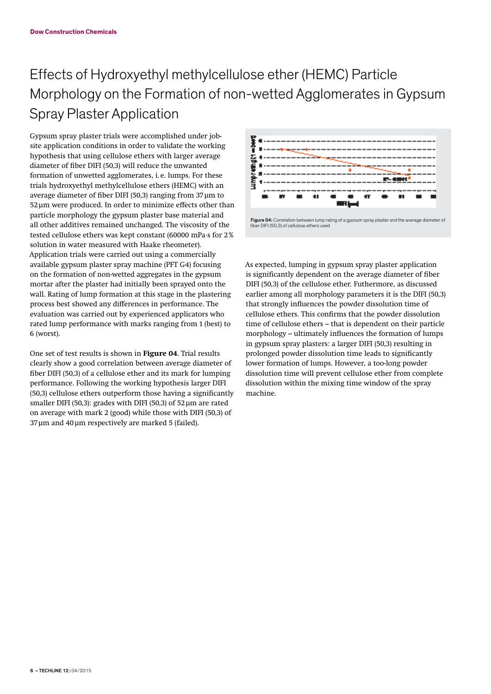# Effects of Hydroxyethyl methylcellulose ether (HEMC) Particle Morphology on the Formation of non-wetted Agglomerates in Gypsum Spray Plaster Application

Gypsum spray plaster trials were accomplished under jobsite application conditions in order to validate the working hypothesis that using cellulose ethers with larger average diameter of fiber DIFI (50,3) will reduce the unwanted formation of unwetted agglomerates, i. e. lumps. For these trials hydroxyethyl methylcellulose ethers (HEMC) with an average diameter of fiber DIFI (50,3) ranging from 37µm to 52µm were produced. In order to minimize effects other than particle morphology the gypsum plaster base material and all other additives remained unchanged. The viscosity of the tested cellulose ethers was kept constant (60000 mPa·s for 2% solution in water measured with Haake rheometer). Application trials were carried out using a commercially available gypsum plaster spray machine (PFT G4) focusing on the formation of non-wetted aggregates in the gypsum mortar after the plaster had initially been sprayed onto the wall. Rating of lump formation at this stage in the plastering process best showed any differences in performance. The evaluation was carried out by experienced applicators who rated lump performance with marks ranging from 1 (best) to 6 (worst).

One set of test results is shown in **Figure 04**. Trial results clearly show a good correlation between average diameter of fiber DIFI (50,3) of a cellulose ether and its mark for lumping performance. Following the working hypothesis larger DIFI (50,3) cellulose ethers outperform those having a significantly smaller DIFI (50,3): grades with DIFI (50,3) of 52µm are rated on average with mark 2 (good) while those with DIFI (50,3) of 37µm and 40µm respectively are marked 5 (failed).



As expected, lumping in gypsum spray plaster application is significantly dependent on the average diameter of fiber DIFI (50,3) of the cellulose ether. Futhermore, as discussed earlier among all morphology parameters it is the DIFI (50,3) that strongly influences the powder dissolution time of cellulose ethers. This confirms that the powder dissolution time of cellulose ethers – that is dependent on their particle morphology – ultimately influences the formation of lumps in gypsum spray plasters: a larger DIFI (50,3) resulting in prolonged powder dissolution time leads to significantly lower formation of lumps. However, a too-long powder dissolution time will prevent cellulose ether from complete dissolution within the mixing time window of the spray machine.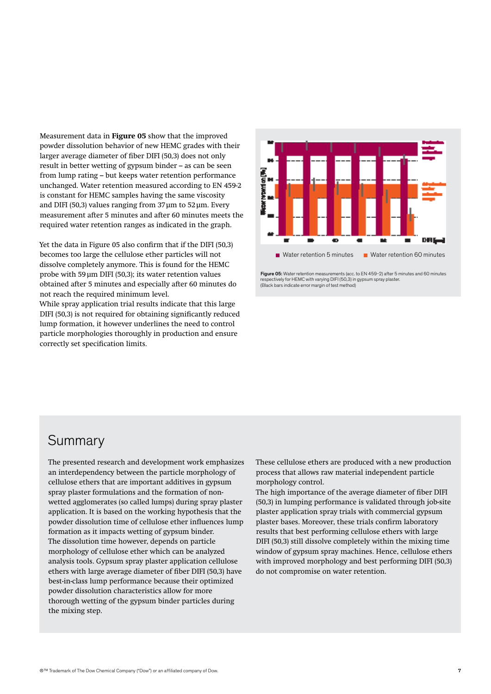Measurement data in **Figure 05** show that the improved powder dissolution behavior of new HEMC grades with their larger average diameter of fiber DIFI (50,3) does not only result in better wetting of gypsum binder – as can be seen from lump rating – but keeps water retention performance unchanged. Water retention measured according to EN 459-2 is constant for HEMC samples having the same viscosity and DIFI (50,3) values ranging from  $37 \mu m$  to  $52 \mu m$ . Every measurement after 5 minutes and after 60 minutes meets the required water retention ranges as indicated in the graph.

Yet the data in Figure 05 also confirm that if the DIFI (50,3) becomes too large the cellulose ether particles will not dissolve completely anymore. This is found for the HEMC probe with 59µm DIFI (50,3); its water retention values obtained after 5 minutes and especially after 60 minutes do not reach the required minimum level.

While spray application trial results indicate that this large DIFI (50,3) is not required for obtaining significantly reduced lump formation, it however underlines the need to control particle morphologies thoroughly in production and ensure correctly set specification limits.



Figure 05: Water retention measurements (acc. to EN 459-2) after 5 minutes and 60 minutes respectively for HEMC with varying DIFI (50,3) in gypsum spray plaster. (Black bars indicate error margin of test method)

### **Summary**

The presented research and development work emphasizes an interdependency between the particle morphology of cellulose ethers that are important additives in gypsum spray plaster formulations and the formation of nonwetted agglomerates (so called lumps) during spray plaster application. It is based on the working hypothesis that the powder dissolution time of cellulose ether influences lump formation as it impacts wetting of gypsum binder. The dissolution time however, depends on particle morphology of cellulose ether which can be analyzed analysis tools. Gypsum spray plaster application cellulose ethers with large average diameter of fiber DIFI (50,3) have best-in-class lump performance because their optimized powder dissolution characteristics allow for more thorough wetting of the gypsum binder particles during the mixing step.

These cellulose ethers are produced with a new production process that allows raw material independent particle morphology control.

The high importance of the average diameter of fiber DIFI (50,3) in lumping performance is validated through job-site plaster application spray trials with commercial gypsum plaster bases. Moreover, these trials confirm laboratory results that best performing cellulose ethers with large DIFI (50,3) still dissolve completely within the mixing time window of gypsum spray machines. Hence, cellulose ethers with improved morphology and best performing DIFI (50,3) do not compromise on water retention.